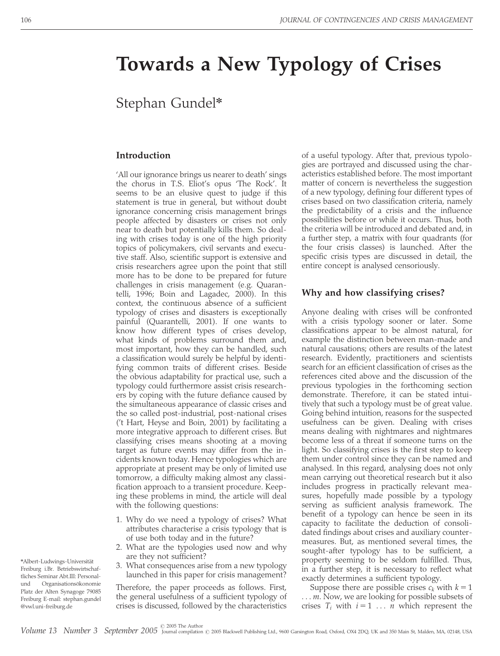# Towards a New Typology of Crises

# Stephan Gundel\*

### Introduction

'All our ignorance brings us nearer to death' sings the chorus in T.S. Eliot's opus 'The Rock'. It seems to be an elusive quest to judge if this statement is true in general, but without doubt ignorance concerning crisis management brings people affected by disasters or crises not only near to death but potentially kills them. So dealing with crises today is one of the high priority topics of policymakers, civil servants and executive staff. Also, scientific support is extensive and crisis researchers agree upon the point that still more has to be done to be prepared for future challenges in crisis management (e.g. Quarantelli, 1996; Boin and Lagadec, 2000). In this context, the continuous absence of a sufficient typology of crises and disasters is exceptionally painful (Quarantelli, 2001). If one wants to know how different types of crises develop, what kinds of problems surround them and, most important, how they can be handled, such a classification would surely be helpful by identifying common traits of different crises. Beside the obvious adaptability for practical use, such a typology could furthermore assist crisis researchers by coping with the future defiance caused by the simultaneous appearance of classic crises and the so called post-industrial, post-national crises ('t Hart, Heyse and Boin, 2001) by facilitating a more integrative approach to different crises. But classifying crises means shooting at a moving target as future events may differ from the incidents known today. Hence typologies which are appropriate at present may be only of limited use tomorrow, a difficulty making almost any classification approach to a transient procedure. Keeping these problems in mind, the article will deal with the following questions:

- 1. Why do we need a typology of crises? What attributes characterise a crisis typology that is of use both today and in the future?
- 2. What are the typologies used now and why are they not sufficient?
- 3. What consequences arise from a new typology launched in this paper for crisis management?

Therefore, the paper proceeds as follows. First, the general usefulness of a sufficient typology of crises is discussed, followed by the characteristics

of a useful typology. After that, previous typologies are portrayed and discussed using the characteristics established before. The most important matter of concern is nevertheless the suggestion of a new typology, defining four different types of crises based on two classification criteria, namely the predictability of a crisis and the influence possibilities before or while it occurs. Thus, both the criteria will be introduced and debated and, in a further step, a matrix with four quadrants (for the four crisis classes) is launched. After the specific crisis types are discussed in detail, the entire concept is analysed censoriously.

# Why and how classifying crises?

Anyone dealing with crises will be confronted with a crisis typology sooner or later. Some classifications appear to be almost natural, for example the distinction between man-made and natural causations; others are results of the latest research. Evidently, practitioners and scientists search for an efficient classification of crises as the references cited above and the discussion of the previous typologies in the forthcoming section demonstrate. Therefore, it can be stated intuitively that such a typology must be of great value. Going behind intuition, reasons for the suspected usefulness can be given. Dealing with crises means dealing with nightmares and nightmares become less of a threat if someone turns on the light. So classifying crises is the first step to keep them under control since they can be named and analysed. In this regard, analysing does not only mean carrying out theoretical research but it also includes progress in practically relevant measures, hopefully made possible by a typology serving as sufficient analysis framework. The benefit of a typology can hence be seen in its capacity to facilitate the deduction of consolidated findings about crises and auxiliary countermeasures. But, as mentioned several times, the sought-after typology has to be sufficient, a property seeming to be seldom fulfilled. Thus, in a further step, it is necessary to reflect what exactly determines a sufficient typology.

Suppose there are possible crises  $c_k$  with  $k = 1$ ... *m*. Now, we are looking for possible subsets of crises  $T_i$  with  $i = 1 \ldots n$  which represent the

\*Albert-Ludwings-Universität Freiburg i.Br. Betriebswirtschaftliches Seminar Abt.III: Personalund Organisationsökonomie Platz der Alten Synagoge 79085 Freiburg E-mail: stephan.gundel @vwl.uni-freiburg.de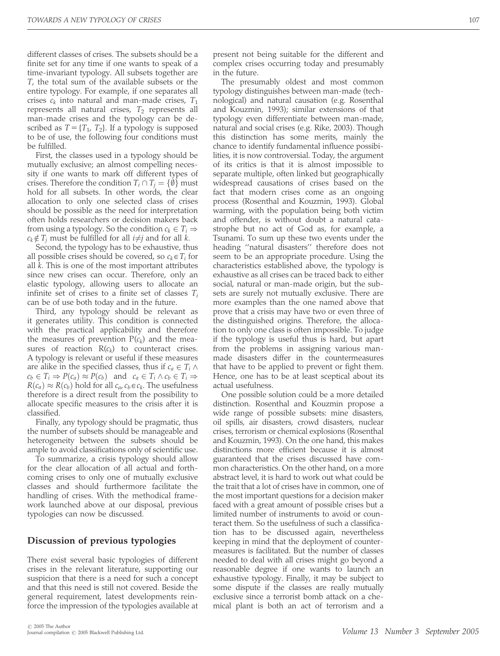different classes of crises. The subsets should be a finite set for any time if one wants to speak of a time-invariant typology. All subsets together are T, the total sum of the available subsets or the entire typology. For example, if one separates all crises  $c_k$  into natural and man-made crises,  $T_1$ represents all natural crises,  $T_2$  represents all man-made crises and the typology can be described as  $T = \{T_1, T_2\}$ . If a typology is supposed to be of use, the following four conditions must be fulfilled.

First, the classes used in a typology should be mutually exclusive; an almost compelling necessity if one wants to mark off different types of crises. Therefore the condition  $T_i \cap T_j = \{\emptyset\}$  must hold for all subsets. In other words, the clear allocation to only one selected class of crises should be possible as the need for interpretation often holds researchers or decision makers back from using a typology. So the condition  $c_k \in T_i \Rightarrow$  $c_k \notin T_i$  must be fulfilled for all  $i \neq j$  and for all k.

Second, the typology has to be exhaustive, thus all possible crises should be covered, so  $c_k \in T_i$  for all  $k$ . This is one of the most important attributes since new crises can occur. Therefore, only an elastic typology, allowing users to allocate an infinite set of crises to a finite set of classes  $T_i$ can be of use both today and in the future.

Third, any typology should be relevant as it generates utility. This condition is connected with the practical applicability and therefore the measures of prevention  $P(c_k)$  and the measures of reaction  $R(c_k)$  to counteract crises. A typology is relevant or useful if these measures are alike in the specified classes, thus if  $c_a \in T_i \wedge T_j$  $c_b \in T_i \Rightarrow P(c_a) \approx P(c_b)$  and  $c_a \in T_i \wedge c_b \in T_i \Rightarrow$  $R(c_a) \approx R(c_b)$  hold for all  $c_a$ ,  $c_b \in c_k$ . The usefulness therefore is a direct result from the possibility to allocate specific measures to the crisis after it is classified.

Finally, any typology should be pragmatic, thus the number of subsets should be manageable and heterogeneity between the subsets should be ample to avoid classifications only of scientific use.

To summarize, a crisis typology should allow for the clear allocation of all actual and forthcoming crises to only one of mutually exclusive classes and should furthermore facilitate the handling of crises. With the methodical framework launched above at our disposal, previous typologies can now be discussed.

#### Discussion of previous typologies

There exist several basic typologies of different crises in the relevant literature, supporting our suspicion that there is a need for such a concept and that this need is still not covered. Beside the general requirement, latest developments reinforce the impression of the typologies available at

present not being suitable for the different and complex crises occurring today and presumably in the future.

The presumably oldest and most common typology distinguishes between man-made (technological) and natural causation (e.g. Rosenthal and Kouzmin, 1993); similar extensions of that typology even differentiate between man-made, natural and social crises (e.g. Rike, 2003). Though this distinction has some merits, mainly the chance to identify fundamental influence possibilities, it is now controversial. Today, the argument of its critics is that it is almost impossible to separate multiple, often linked but geographically widespread causations of crises based on the fact that modern crises come as an ongoing process (Rosenthal and Kouzmin, 1993). Global warming, with the population being both victim and offender, is without doubt a natural catastrophe but no act of God as, for example, a Tsunami. To sum up these two events under the heading ''natural disasters'' therefore does not seem to be an appropriate procedure. Using the characteristics established above, the typology is exhaustive as all crises can be traced back to either social, natural or man-made origin, but the subsets are surely not mutually exclusive. There are more examples than the one named above that prove that a crisis may have two or even three of the distinguished origins. Therefore, the allocation to only one class is often impossible. To judge if the typology is useful thus is hard, but apart from the problems in assigning various manmade disasters differ in the countermeasures that have to be applied to prevent or fight them. Hence, one has to be at least sceptical about its actual usefulness.

One possible solution could be a more detailed distinction. Rosenthal and Kouzmin propose a wide range of possible subsets: mine disasters, oil spills, air disasters, crowd disasters, nuclear crises, terrorism or chemical explosions (Rosenthal and Kouzmin, 1993). On the one hand, this makes distinctions more efficient because it is almost guaranteed that the crises discussed have common characteristics. On the other hand, on a more abstract level, it is hard to work out what could be the trait that a lot of crises have in common, one of the most important questions for a decision maker faced with a great amount of possible crises but a limited number of instruments to avoid or counteract them. So the usefulness of such a classification has to be discussed again, nevertheless keeping in mind that the deployment of countermeasures is facilitated. But the number of classes needed to deal with all crises might go beyond a reasonable degree if one wants to launch an exhaustive typology. Finally, it may be subject to some dispute if the classes are really mutually exclusive since a terrorist bomb attack on a chemical plant is both an act of terrorism and a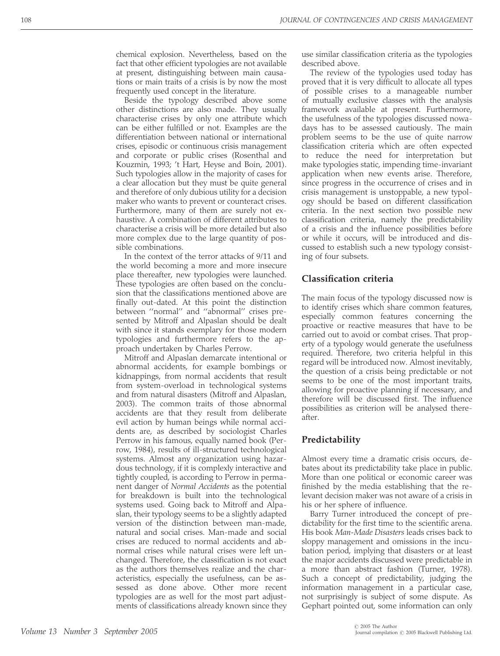chemical explosion. Nevertheless, based on the fact that other efficient typologies are not available at present, distinguishing between main causations or main traits of a crisis is by now the most frequently used concept in the literature.

Beside the typology described above some other distinctions are also made. They usually characterise crises by only one attribute which can be either fulfilled or not. Examples are the differentiation between national or international crises, episodic or continuous crisis management and corporate or public crises (Rosenthal and Kouzmin, 1993; 't Hart, Heyse and Boin, 2001). Such typologies allow in the majority of cases for a clear allocation but they must be quite general and therefore of only dubious utility for a decision maker who wants to prevent or counteract crises. Furthermore, many of them are surely not exhaustive. A combination of different attributes to characterise a crisis will be more detailed but also more complex due to the large quantity of possible combinations.

In the context of the terror attacks of 9/11 and the world becoming a more and more insecure place thereafter, new typologies were launched. These typologies are often based on the conclusion that the classifications mentioned above are finally out-dated. At this point the distinction between ''normal'' and ''abnormal'' crises presented by Mitroff and Alpaslan should be dealt with since it stands exemplary for those modern typologies and furthermore refers to the approach undertaken by Charles Perrow.

Mitroff and Alpaslan demarcate intentional or abnormal accidents, for example bombings or kidnappings, from normal accidents that result from system-overload in technological systems and from natural disasters (Mitroff and Alpaslan, 2003). The common traits of those abnormal accidents are that they result from deliberate evil action by human beings while normal accidents are, as described by sociologist Charles Perrow in his famous, equally named book (Perrow, 1984), results of ill-structured technological systems. Almost any organization using hazardous technology, if it is complexly interactive and tightly coupled, is according to Perrow in permanent danger of Normal Accidents as the potential for breakdown is built into the technological systems used. Going back to Mitroff and Alpaslan, their typology seems to be a slightly adapted version of the distinction between man-made, natural and social crises. Man-made and social crises are reduced to normal accidents and abnormal crises while natural crises were left unchanged. Therefore, the classification is not exact as the authors themselves realize and the characteristics, especially the usefulness, can be assessed as done above. Other more recent typologies are as well for the most part adjustments of classifications already known since they use similar classification criteria as the typologies described above.

The review of the typologies used today has proved that it is very difficult to allocate all types of possible crises to a manageable number of mutually exclusive classes with the analysis framework available at present. Furthermore, the usefulness of the typologies discussed nowadays has to be assessed cautiously. The main problem seems to be the use of quite narrow classification criteria which are often expected to reduce the need for interpretation but make typologies static, impending time-invariant application when new events arise. Therefore, since progress in the occurrence of crises and in crisis management is unstoppable, a new typology should be based on different classification criteria. In the next section two possible new classification criteria, namely the predictability of a crisis and the influence possibilities before or while it occurs, will be introduced and discussed to establish such a new typology consisting of four subsets.

# Classification criteria

The main focus of the typology discussed now is to identify crises which share common features, especially common features concerning the proactive or reactive measures that have to be carried out to avoid or combat crises. That property of a typology would generate the usefulness required. Therefore, two criteria helpful in this regard will be introduced now. Almost inevitably, the question of a crisis being predictable or not seems to be one of the most important traits, allowing for proactive planning if necessary, and therefore will be discussed first. The influence possibilities as criterion will be analysed thereafter.

# Predictability

Almost every time a dramatic crisis occurs, debates about its predictability take place in public. More than one political or economic career was finished by the media establishing that the relevant decision maker was not aware of a crisis in his or her sphere of influence.

Barry Turner introduced the concept of predictability for the first time to the scientific arena. His book Man-Made Disasters leads crises back to sloppy management and omissions in the incubation period, implying that disasters or at least the major accidents discussed were predictable in a more than abstract fashion (Turner, 1978). Such a concept of predictability, judging the information management in a particular case, not surprisingly is subject of some dispute. As Gephart pointed out, some information can only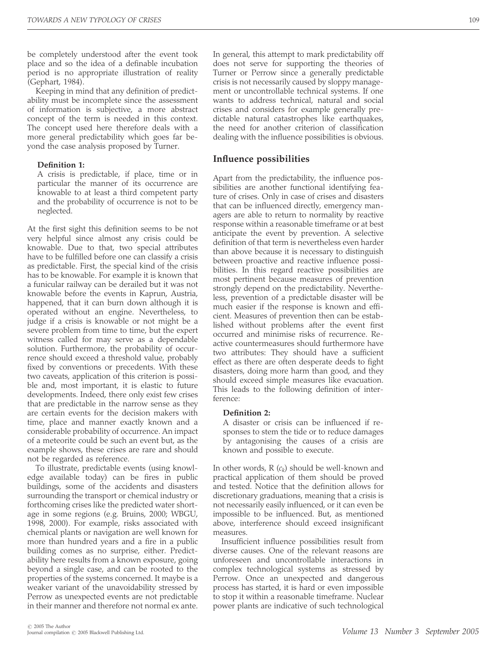be completely understood after the event took place and so the idea of a definable incubation period is no appropriate illustration of reality (Gephart, 1984).

Keeping in mind that any definition of predictability must be incomplete since the assessment of information is subjective, a more abstract concept of the term is needed in this context. The concept used here therefore deals with a more general predictability which goes far beyond the case analysis proposed by Turner.

#### Definition 1:

A crisis is predictable, if place, time or in particular the manner of its occurrence are knowable to at least a third competent party and the probability of occurrence is not to be neglected.

At the first sight this definition seems to be not very helpful since almost any crisis could be knowable. Due to that, two special attributes have to be fulfilled before one can classify a crisis as predictable. First, the special kind of the crisis has to be knowable. For example it is known that a funicular railway can be derailed but it was not knowable before the events in Kaprun, Austria, happened, that it can burn down although it is operated without an engine. Nevertheless, to judge if a crisis is knowable or not might be a severe problem from time to time, but the expert witness called for may serve as a dependable solution. Furthermore, the probability of occurrence should exceed a threshold value, probably fixed by conventions or precedents. With these two caveats, application of this criterion is possible and, most important, it is elastic to future developments. Indeed, there only exist few crises that are predictable in the narrow sense as they are certain events for the decision makers with time, place and manner exactly known and a considerable probability of occurrence. An impact of a meteorite could be such an event but, as the example shows, these crises are rare and should not be regarded as reference.

To illustrate, predictable events (using knowledge available today) can be fires in public buildings, some of the accidents and disasters surrounding the transport or chemical industry or forthcoming crises like the predicted water shortage in some regions (e.g. Bruins, 2000; WBGU, 1998, 2000). For example, risks associated with chemical plants or navigation are well known for more than hundred years and a fire in a public building comes as no surprise, either. Predictability here results from a known exposure, going beyond a single case, and can be rooted to the properties of the systems concerned. It maybe is a weaker variant of the unavoidability stressed by Perrow as unexpected events are not predictable in their manner and therefore not normal ex ante.

In general, this attempt to mark predictability off does not serve for supporting the theories of Turner or Perrow since a generally predictable crisis is not necessarily caused by sloppy management or uncontrollable technical systems. If one wants to address technical, natural and social crises and considers for example generally predictable natural catastrophes like earthquakes, the need for another criterion of classification dealing with the influence possibilities is obvious.

#### Influence possibilities

Apart from the predictability, the influence possibilities are another functional identifying feature of crises. Only in case of crises and disasters that can be influenced directly, emergency managers are able to return to normality by reactive response within a reasonable timeframe or at best anticipate the event by prevention. A selective definition of that term is nevertheless even harder than above because it is necessary to distinguish between proactive and reactive influence possibilities. In this regard reactive possibilities are most pertinent because measures of prevention strongly depend on the predictability. Nevertheless, prevention of a predictable disaster will be much easier if the response is known and efficient. Measures of prevention then can be established without problems after the event first occurred and minimise risks of recurrence. Reactive countermeasures should furthermore have two attributes: They should have a sufficient effect as there are often desperate deeds to fight disasters, doing more harm than good, and they should exceed simple measures like evacuation. This leads to the following definition of interference:

#### Definition 2:

A disaster or crisis can be influenced if responses to stem the tide or to reduce damages by antagonising the causes of a crisis are known and possible to execute.

In other words,  $R(c_k)$  should be well-known and practical application of them should be proved and tested. Notice that the definition allows for discretionary graduations, meaning that a crisis is not necessarily easily influenced, or it can even be impossible to be influenced. But, as mentioned above, interference should exceed insignificant measures.

Insufficient influence possibilities result from diverse causes. One of the relevant reasons are unforeseen and uncontrollable interactions in complex technological systems as stressed by Perrow. Once an unexpected and dangerous process has started, it is hard or even impossible to stop it within a reasonable timeframe. Nuclear power plants are indicative of such technological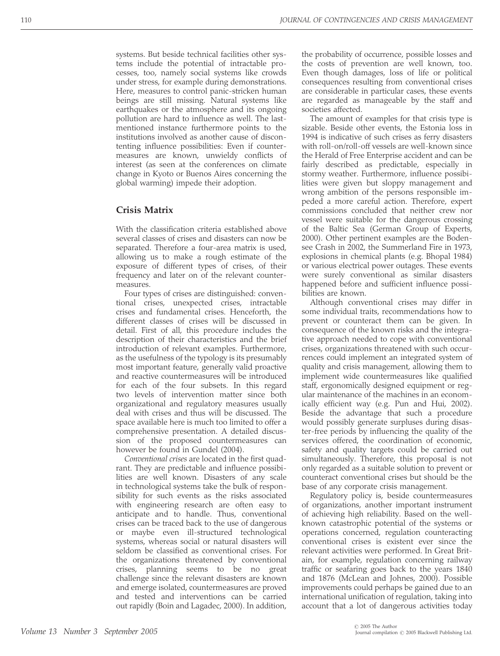systems. But beside technical facilities other systems include the potential of intractable processes, too, namely social systems like crowds under stress, for example during demonstrations. Here, measures to control panic-stricken human beings are still missing. Natural systems like earthquakes or the atmosphere and its ongoing pollution are hard to influence as well. The lastmentioned instance furthermore points to the institutions involved as another cause of discontenting influence possibilities: Even if countermeasures are known, unwieldy conflicts of interest (as seen at the conferences on climate change in Kyoto or Buenos Aires concerning the global warming) impede their adoption.

# Crisis Matrix

With the classification criteria established above several classes of crises and disasters can now be separated. Therefore a four-area matrix is used, allowing us to make a rough estimate of the exposure of different types of crises, of their frequency and later on of the relevant countermeasures.

Four types of crises are distinguished: conventional crises, unexpected crises, intractable crises and fundamental crises. Henceforth, the different classes of crises will be discussed in detail. First of all, this procedure includes the description of their characteristics and the brief introduction of relevant examples. Furthermore, as the usefulness of the typology is its presumably most important feature, generally valid proactive and reactive countermeasures will be introduced for each of the four subsets. In this regard two levels of intervention matter since both organizational and regulatory measures usually deal with crises and thus will be discussed. The space available here is much too limited to offer a comprehensive presentation. A detailed discussion of the proposed countermeasures can however be found in Gundel (2004).

Conventional crises are located in the first quadrant. They are predictable and influence possibilities are well known. Disasters of any scale in technological systems take the bulk of responsibility for such events as the risks associated with engineering research are often easy to anticipate and to handle. Thus, conventional crises can be traced back to the use of dangerous or maybe even ill-structured technological systems, whereas social or natural disasters will seldom be classified as conventional crises. For the organizations threatened by conventional crises, planning seems to be no great challenge since the relevant disasters are known and emerge isolated, countermeasures are proved and tested and interventions can be carried out rapidly (Boin and Lagadec, 2000). In addition,

the probability of occurrence, possible losses and the costs of prevention are well known, too. Even though damages, loss of life or political consequences resulting from conventional crises are considerable in particular cases, these events are regarded as manageable by the staff and societies affected.

The amount of examples for that crisis type is sizable. Beside other events, the Estonia loss in 1994 is indicative of such crises as ferry disasters with roll-on/roll-off vessels are well-known since the Herald of Free Enterprise accident and can be fairly described as predictable, especially in stormy weather. Furthermore, influence possibilities were given but sloppy management and wrong ambition of the persons responsible impeded a more careful action. Therefore, expert commissions concluded that neither crew nor vessel were suitable for the dangerous crossing of the Baltic Sea (German Group of Experts, 2000). Other pertinent examples are the Bodensee Crash in 2002, the Summerland Fire in 1973, explosions in chemical plants (e.g. Bhopal 1984) or various electrical power outages. These events were surely conventional as similar disasters happened before and sufficient influence possibilities are known.

Although conventional crises may differ in some individual traits, recommendations how to prevent or counteract them can be given. In consequence of the known risks and the integrative approach needed to cope with conventional crises, organizations threatened with such occurrences could implement an integrated system of quality and crisis management, allowing them to implement wide countermeasures like qualified staff, ergonomically designed equipment or regular maintenance of the machines in an economically efficient way (e.g. Pun and Hui, 2002). Beside the advantage that such a procedure would possibly generate surpluses during disaster-free periods by influencing the quality of the services offered, the coordination of economic, safety and quality targets could be carried out simultaneously. Therefore, this proposal is not only regarded as a suitable solution to prevent or counteract conventional crises but should be the base of any corporate crisis management.

Regulatory policy is, beside countermeasures of organizations, another important instrument of achieving high reliability. Based on the wellknown catastrophic potential of the systems or operations concerned, regulation counteracting conventional crises is existent ever since the relevant activities were performed. In Great Britain, for example, regulation concerning railway traffic or seafaring goes back to the years 1840 and 1876 (McLean and Johnes, 2000). Possible improvements could perhaps be gained due to an international unification of regulation, taking into account that a lot of dangerous activities today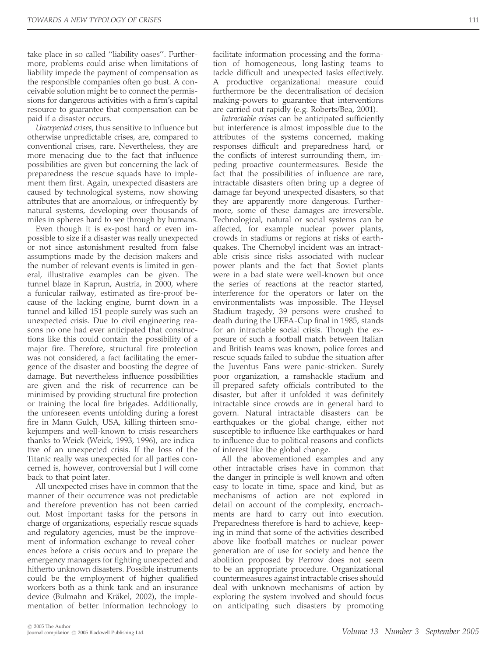take place in so called ''liability oases''. Furthermore, problems could arise when limitations of liability impede the payment of compensation as the responsible companies often go bust. A conceivable solution might be to connect the permissions for dangerous activities with a firm's capital resource to guarantee that compensation can be paid if a disaster occurs.

Unexpected crises, thus sensitive to influence but otherwise unpredictable crises, are, compared to conventional crises, rare. Nevertheless, they are more menacing due to the fact that influence possibilities are given but concerning the lack of preparedness the rescue squads have to implement them first. Again, unexpected disasters are caused by technological systems, now showing attributes that are anomalous, or infrequently by natural systems, developing over thousands of miles in spheres hard to see through by humans.

Even though it is ex-post hard or even impossible to size if a disaster was really unexpected or not since astonishment resulted from false assumptions made by the decision makers and the number of relevant events is limited in general, illustrative examples can be given. The tunnel blaze in Kaprun, Austria, in 2000, where a funicular railway, estimated as fire-proof because of the lacking engine, burnt down in a tunnel and killed 151 people surely was such an unexpected crisis. Due to civil engineering reasons no one had ever anticipated that constructions like this could contain the possibility of a major fire. Therefore, structural fire protection was not considered, a fact facilitating the emergence of the disaster and boosting the degree of damage. But nevertheless influence possibilities are given and the risk of recurrence can be minimised by providing structural fire protection or training the local fire brigades. Additionally, the unforeseen events unfolding during a forest fire in Mann Gulch, USA, killing thirteen smokejumpers and well-known to crisis researchers thanks to Weick (Weick, 1993, 1996), are indicative of an unexpected crisis. If the loss of the Titanic really was unexpected for all parties concerned is, however, controversial but I will come back to that point later.

All unexpected crises have in common that the manner of their occurrence was not predictable and therefore prevention has not been carried out. Most important tasks for the persons in charge of organizations, especially rescue squads and regulatory agencies, must be the improvement of information exchange to reveal coherences before a crisis occurs and to prepare the emergency managers for fighting unexpected and hitherto unknown disasters. Possible instruments could be the employment of higher qualified workers both as a think-tank and an insurance device (Bulmahn and Kräkel, 2002), the implementation of better information technology to facilitate information processing and the formation of homogeneous, long-lasting teams to tackle difficult and unexpected tasks effectively. A productive organizational measure could furthermore be the decentralisation of decision making-powers to guarantee that interventions are carried out rapidly (e.g. Roberts/Bea, 2001).

Intractable crises can be anticipated sufficiently but interference is almost impossible due to the attributes of the systems concerned, making responses difficult and preparedness hard, or the conflicts of interest surrounding them, impeding proactive countermeasures. Beside the fact that the possibilities of influence are rare, intractable disasters often bring up a degree of damage far beyond unexpected disasters, so that they are apparently more dangerous. Furthermore, some of these damages are irreversible. Technological, natural or social systems can be affected, for example nuclear power plants, crowds in stadiums or regions at risks of earthquakes. The Chernobyl incident was an intractable crisis since risks associated with nuclear power plants and the fact that Soviet plants were in a bad state were well-known but once the series of reactions at the reactor started, interference for the operators or later on the environmentalists was impossible. The Heysel Stadium tragedy, 39 persons were crushed to death during the UEFA-Cup final in 1985, stands for an intractable social crisis. Though the exposure of such a football match between Italian and British teams was known, police forces and rescue squads failed to subdue the situation after the Juventus Fans were panic-stricken. Surely poor organization, a ramshackle stadium and ill-prepared safety officials contributed to the disaster, but after it unfolded it was definitely intractable since crowds are in general hard to govern. Natural intractable disasters can be earthquakes or the global change, either not susceptible to influence like earthquakes or hard to influence due to political reasons and conflicts of interest like the global change.

All the abovementioned examples and any other intractable crises have in common that the danger in principle is well known and often easy to locate in time, space and kind, but as mechanisms of action are not explored in detail on account of the complexity, encroachments are hard to carry out into execution. Preparedness therefore is hard to achieve, keeping in mind that some of the activities described above like football matches or nuclear power generation are of use for society and hence the abolition proposed by Perrow does not seem to be an appropriate procedure. Organizational countermeasures against intractable crises should deal with unknown mechanisms of action by exploring the system involved and should focus on anticipating such disasters by promoting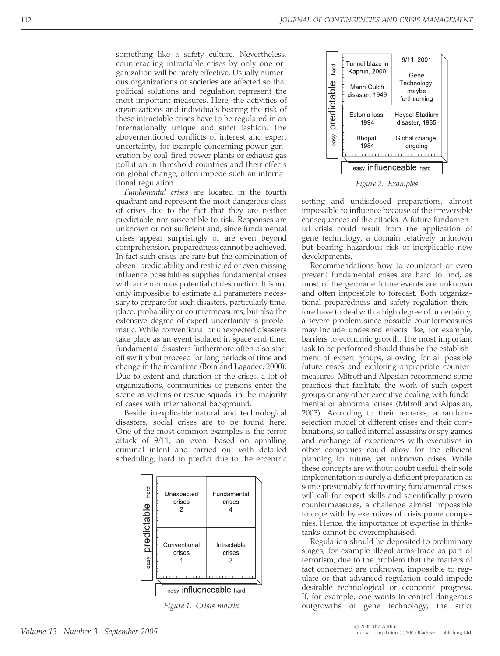something like a safety culture. Nevertheless, counteracting intractable crises by only one organization will be rarely effective. Usually numerous organizations or societies are affected so that political solutions and regulation represent the most important measures. Here, the activities of organizations and individuals bearing the risk of these intractable crises have to be regulated in an internationally unique and strict fashion. The abovementioned conflicts of interest and expert uncertainty, for example concerning power generation by coal-fired power plants or exhaust gas pollution in threshold countries and their effects on global change, often impede such an international regulation.

Fundamental crises are located in the fourth quadrant and represent the most dangerous class of crises due to the fact that they are neither predictable nor susceptible to risk. Responses are unknown or not sufficient and, since fundamental crises appear surprisingly or are even beyond comprehension, preparedness cannot be achieved. In fact such crises are rare but the combination of absent predictability and restricted or even missing influence possibilities supplies fundamental crises with an enormous potential of destruction. It is not only impossible to estimate all parameters necessary to prepare for such disasters, particularly time, place, probability or countermeasures, but also the extensive degree of expert uncertainty is problematic. While conventional or unexpected disasters take place as an event isolated in space and time, fundamental disasters furthermore often also start off swiftly but proceed for long periods of time and change in the meantime (Boin and Lagadec, 2000). Due to extent and duration of the crises, a lot of organizations, communities or persons enter the scene as victims or rescue squads, in the majority of cases with international background.

Beside inexplicable natural and technological disasters, social crises are to be found here. One of the most common examples is the terror attack of 9/11, an event based on appalling criminal intent and carried out with detailed scheduling, hard to predict due to the eccentric





Figure 2: Examples

setting and undisclosed preparations, almost impossible to influence because of the irreversible consequences of the attacks. A future fundamental crisis could result from the application of gene technology, a domain relatively unknown but bearing hazardous risk of inexplicable new developments.

Recommendations how to counteract or even prevent fundamental crises are hard to find, as most of the germane future events are unknown and often impossible to forecast. Both organizational preparedness and safety regulation therefore have to deal with a high degree of uncertainty, a severe problem since possible countermeasures may include undesired effects like, for example, barriers to economic growth. The most important task to be performed should thus be the establishment of expert groups, allowing for all possible future crises and exploring appropriate countermeasures. Mitroff and Alpaslan recommend some practices that facilitate the work of such expert groups or any other executive dealing with fundamental or abnormal crises (Mitroff and Alpaslan, 2003). According to their remarks, a randomselection model of different crises and their combinations, so called internal assassins or spy games and exchange of experiences with executives in other companies could allow for the efficient planning for future, yet unknown crises. While these concepts are without doubt useful, their sole implementation is surely a deficient preparation as some presumably forthcoming fundamental crises will call for expert skills and scientifically proven countermeasures, a challenge almost impossible to cope with by executives of crisis prone companies. Hence, the importance of expertise in thinktanks cannot be overemphasised.

Regulation should be deposited to preliminary stages, for example illegal arms trade as part of terrorism, due to the problem that the matters of fact concerned are unknown, impossible to regulate or that advanced regulation could impede desirable technological or economic progress. If, for example, one wants to control dangerous Figure 1: Crisis matrix **budyom** butgrowths of gene technology, the strict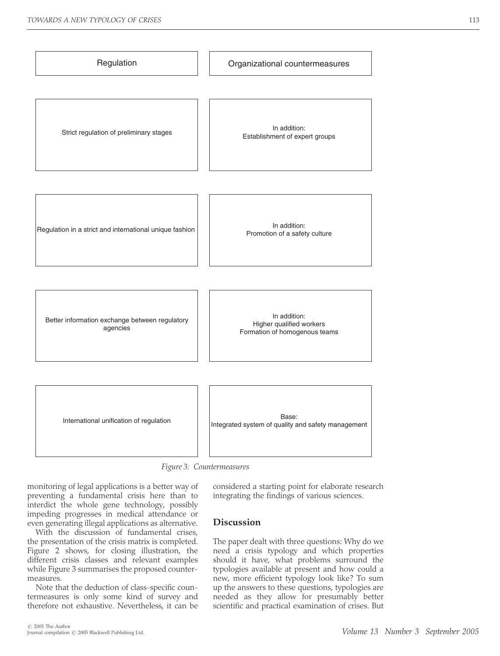| Regulation                              | Organizational countermeasures                 |
|-----------------------------------------|------------------------------------------------|
| Strict regulation of preliminary stages | In addition:<br>Establishment of expert groups |
|                                         |                                                |

Regulation in a strict and international unique fashion

In addition: Promotion of a safety culture

Better information exchange between regulatory agencies

In addition: Higher qualified workers Formation of homogenous teams



Figure 3: Countermeasures

monitoring of legal applications is a better way of preventing a fundamental crisis here than to interdict the whole gene technology, possibly impeding progresses in medical attendance or even generating illegal applications as alternative.

With the discussion of fundamental crises, the presentation of the crisis matrix is completed. Figure 2 shows, for closing illustration, the different crisis classes and relevant examples while Figure 3 summarises the proposed countermeasures.

Note that the deduction of class-specific countermeasures is only some kind of survey and therefore not exhaustive. Nevertheless, it can be considered a starting point for elaborate research integrating the findings of various sciences.

# Discussion

The paper dealt with three questions: Why do we need a crisis typology and which properties should it have, what problems surround the typologies available at present and how could a new, more efficient typology look like? To sum up the answers to these questions, typologies are needed as they allow for presumably better scientific and practical examination of crises. But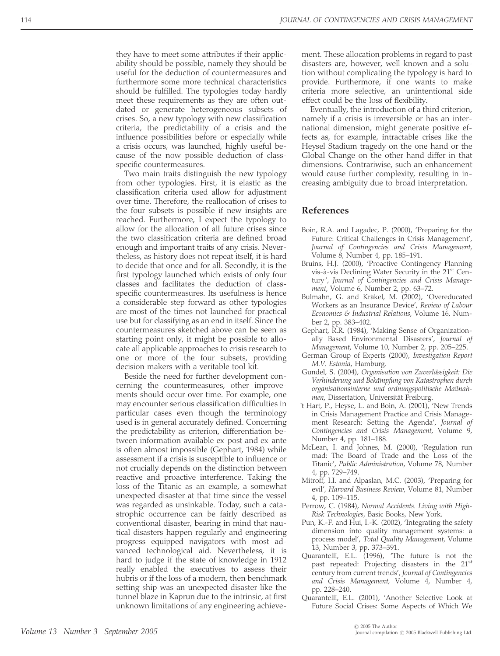they have to meet some attributes if their applicability should be possible, namely they should be useful for the deduction of countermeasures and furthermore some more technical characteristics should be fulfilled. The typologies today hardly meet these requirements as they are often outdated or generate heterogeneous subsets of crises. So, a new typology with new classification criteria, the predictability of a crisis and the influence possibilities before or especially while a crisis occurs, was launched, highly useful because of the now possible deduction of classspecific countermeasures.

Two main traits distinguish the new typology from other typologies. First, it is elastic as the classification criteria used allow for adjustment over time. Therefore, the reallocation of crises to the four subsets is possible if new insights are reached. Furthermore, I expect the typology to allow for the allocation of all future crises since the two classification criteria are defined broad enough and important traits of any crisis. Nevertheless, as history does not repeat itself, it is hard to decide that once and for all. Secondly, it is the first typology launched which exists of only four classes and facilitates the deduction of classspecific countermeasures. Its usefulness is hence a considerable step forward as other typologies are most of the times not launched for practical use but for classifying as an end in itself. Since the countermeasures sketched above can be seen as starting point only, it might be possible to allocate all applicable approaches to crisis research to one or more of the four subsets, providing decision makers with a veritable tool kit.

Beside the need for further development concerning the countermeasures, other improvements should occur over time. For example, one may encounter serious classification difficulties in particular cases even though the terminology used is in general accurately defined. Concerning the predictability as criterion, differentiation between information available ex-post and ex-ante is often almost impossible (Gephart, 1984) while assessment if a crisis is susceptible to influence or not crucially depends on the distinction between reactive and proactive interference. Taking the loss of the Titanic as an example, a somewhat unexpected disaster at that time since the vessel was regarded as unsinkable. Today, such a catastrophic occurrence can be fairly described as conventional disaster, bearing in mind that nautical disasters happen regularly and engineering progress equipped navigators with most advanced technological aid. Nevertheless, it is hard to judge if the state of knowledge in 1912 really enabled the executives to assess their hubris or if the loss of a modern, then benchmark setting ship was an unexpected disaster like the tunnel blaze in Kaprun due to the intrinsic, at first unknown limitations of any engineering achievement. These allocation problems in regard to past disasters are, however, well-known and a solution without complicating the typology is hard to provide. Furthermore, if one wants to make criteria more selective, an unintentional side effect could be the loss of flexibility.

Eventually, the introduction of a third criterion, namely if a crisis is irreversible or has an international dimension, might generate positive effects as, for example, intractable crises like the Heysel Stadium tragedy on the one hand or the Global Change on the other hand differ in that dimensions. Contrariwise, such an enhancement would cause further complexity, resulting in increasing ambiguity due to broad interpretation.

#### References

- Boin, R.A. and Lagadec, P. (2000), 'Preparing for the Future: Critical Challenges in Crisis Management', Journal of Contingencies and Crisis Management, Volume 8, Number 4, pp. 185–191.
- Bruins, H.J. (2000), 'Proactive Contingency Planning vis-à-vis Declining Water Security in the 21<sup>st</sup> Century', Journal of Contingencies and Crisis Management, Volume 6, Number 2, pp. 63–72.
- Bulmahn, G. and Kräkel, M. (2002), 'Overeducated Workers as an Insurance Device', Review of Labour Economics & Industrial Relations, Volume 16, Number 2, pp. 383–402.
- Gephart, R.R. (1984), 'Making Sense of Organizationally Based Environmental Disasters', Journal of Management, Volume 10, Number 2, pp. 205–225.
- German Group of Experts (2000), Investigation Report M.V. Estonia, Hamburg.
- Gundel, S. (2004), Organisation von Zuverlässigkeit: Die Verhinderung und Bekämpfung von Katastrophen durch organisationsinterne und ordnungspolitische Maßnahmen, Dissertation, Universität Freiburg.
- `t Hart, P., Heyse, L. and Boin, A. (2001), 'New Trends in Crisis Management Practice and Crisis Management Research: Setting the Agenda', Journal of Contingencies and Crisis Management, Volume 9, Number 4, pp. 181–188.
- McLean, I. and Johnes, M. (2000), 'Regulation run mad: The Board of Trade and the Loss of the Titanic', Public Administration, Volume 78, Number 4, pp. 729–749.
- Mitroff, I.I. and Alpaslan, M.C. (2003), 'Preparing for evil', Harvard Business Review, Volume 81, Number 4, pp. 109–115.
- Perrow, C. (1984), Normal Accidents. Living with High-Risk Technologies, Basic Books, New York.
- Pun, K.-F. and Hui, I.-K. (2002), 'Integrating the safety dimension into quality management systems: a process model', Total Quality Management, Volume 13, Number 3, pp. 373–391.
- Quarantelli, E.L. (1996), 'The future is not the past repeated: Projecting disasters in the 21<sup>st</sup> century from current trends', Journal of Contingencies and Crisis Management, Volume 4, Number 4, pp. 228–240.
- Quarantelli, E.L. (2001), 'Another Selective Look at Future Social Crises: Some Aspects of Which We